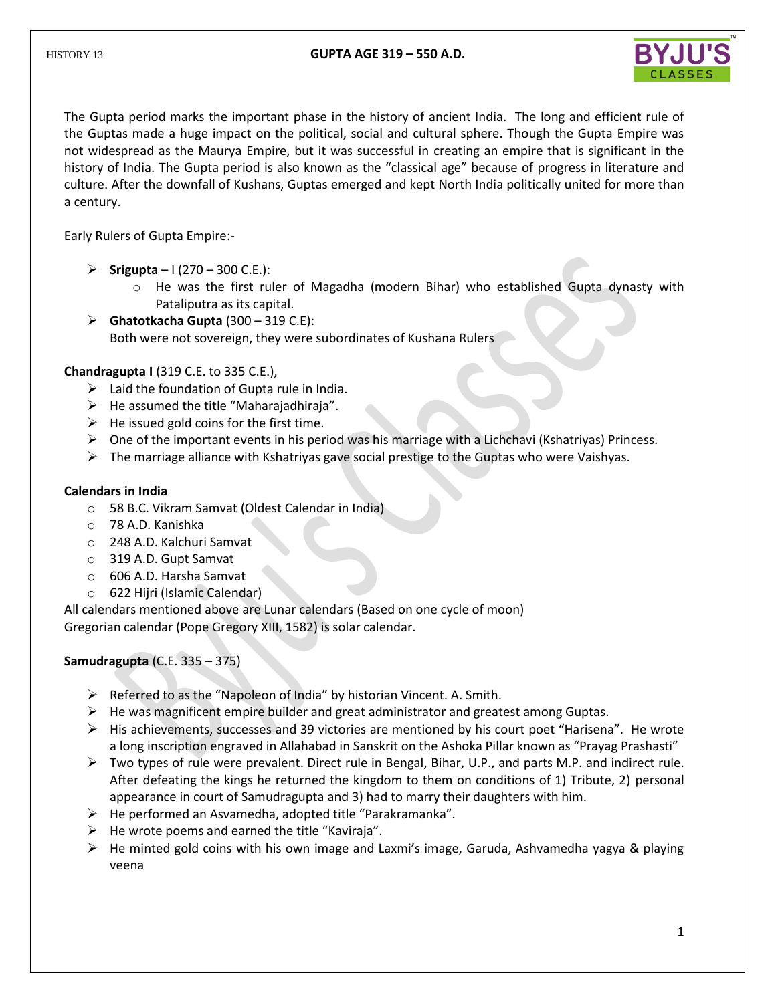

The Gupta period marks the important phase in the history of ancient India. The long and efficient rule of the Guptas made a huge impact on the political, social and cultural sphere. Though the Gupta Empire was not widespread as the Maurya Empire, but it was successful in creating an empire that is significant in the history of India. The Gupta period is also known as the "classical age" because of progress in literature and culture. After the downfall of Kushans, Guptas emerged and kept North India politically united for more than a century.

Early Rulers of Gupta Empire:-

- **Srigupta**  $1(270 300 \text{ C.E.})$ :
	- $\circ$  He was the first ruler of Magadha (modern Bihar) who established Gupta dynasty with Pataliputra as its capital.
- $\triangleright$  **Ghatotkacha Gupta** (300 319 C.E): Both were not sovereign, they were subordinates of Kushana Rulers

**Chandragupta I** (319 C.E. to 335 C.E.),

- $\triangleright$  Laid the foundation of Gupta rule in India.
- $\triangleright$  He assumed the title "Maharajadhiraja".
- $\triangleright$  He issued gold coins for the first time.
- $\triangleright$  One of the important events in his period was his marriage with a Lichchavi (Kshatriyas) Princess.
- $\triangleright$  The marriage alliance with Kshatriyas gave social prestige to the Guptas who were Vaishyas.

## **Calendars in India**

- o 58 B.C. Vikram Samvat (Oldest Calendar in India)
- o 78 A.D. Kanishka
- o 248 A.D. Kalchuri Samvat
- o 319 A.D. Gupt Samvat
- o 606 A.D. Harsha Samvat
- o 622 Hijri (Islamic Calendar)

All calendars mentioned above are Lunar calendars (Based on one cycle of moon) Gregorian calendar (Pope Gregory XIII, 1582) is solar calendar.

**Samudragupta** (C.E. 335 – 375)

- $\triangleright$  Referred to as the "Napoleon of India" by historian Vincent. A. Smith.
- $\triangleright$  He was magnificent empire builder and great administrator and greatest among Guptas.
- $\triangleright$  His achievements, successes and 39 victories are mentioned by his court poet "Harisena". He wrote a long inscription engraved in Allahabad in Sanskrit on the Ashoka Pillar known as "Prayag Prashasti"
- $\triangleright$  Two types of rule were prevalent. Direct rule in Bengal, Bihar, U.P., and parts M.P. and indirect rule. After defeating the kings he returned the kingdom to them on conditions of 1) Tribute, 2) personal appearance in court of Samudragupta and 3) had to marry their daughters with him.
- $\triangleright$  He performed an Asvamedha, adopted title "Parakramanka".
- $\triangleright$  He wrote poems and earned the title "Kaviraja".
- $\triangleright$  He minted gold coins with his own image and Laxmi's image, Garuda, Ashvamedha yagya & playing veena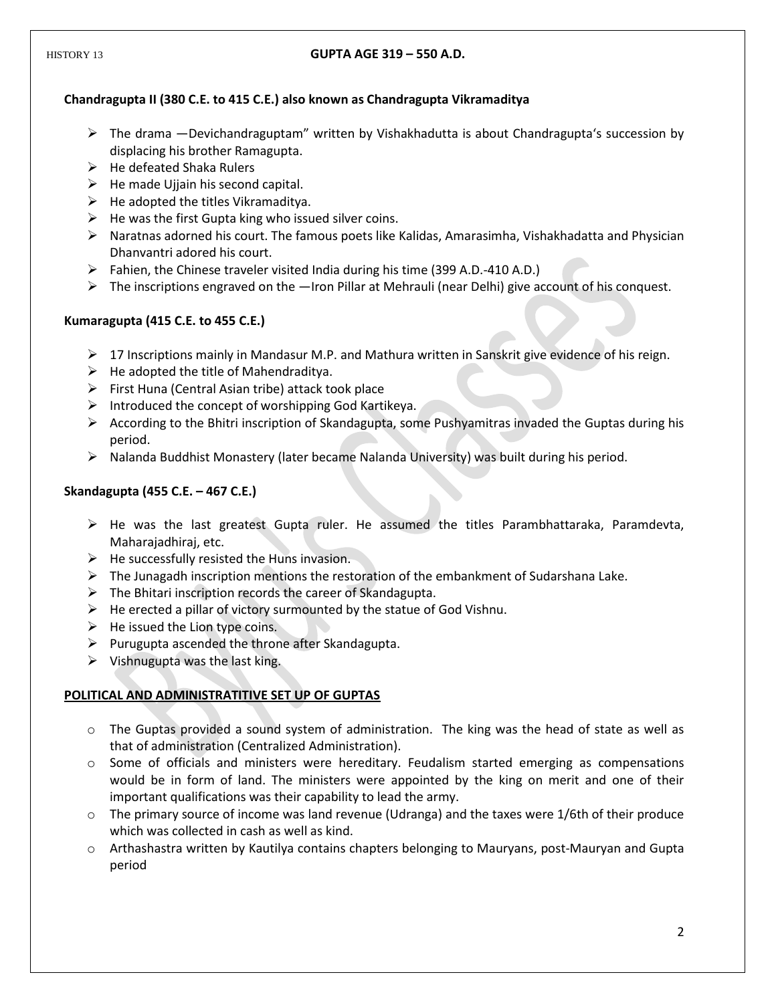## **Chandragupta II (380 C.E. to 415 C.E.) also known as Chandragupta Vikramaditya**

- $\triangleright$  The drama —Devichandraguptam" written by Vishakhadutta is about Chandragupta's succession by displacing his brother Ramagupta.
- $\triangleright$  He defeated Shaka Rulers
- $\triangleright$  He made Ujjain his second capital.
- $\triangleright$  He adopted the titles Vikramaditya.
- $\triangleright$  He was the first Gupta king who issued silver coins.
- $\triangleright$  Naratnas adorned his court. The famous poets like Kalidas, Amarasimha, Vishakhadatta and Physician Dhanvantri adored his court.
- $\triangleright$  Fahien, the Chinese traveler visited India during his time (399 A.D.-410 A.D.)
- $\triangleright$  The inscriptions engraved on the —Iron Pillar at Mehrauli (near Delhi) give account of his conquest.

## **Kumaragupta (415 C.E. to 455 C.E.)**

- $\triangleright$  17 Inscriptions mainly in Mandasur M.P. and Mathura written in Sanskrit give evidence of his reign.
- $\triangleright$  He adopted the title of Mahendraditya.
- $\triangleright$  First Huna (Central Asian tribe) attack took place
- $\triangleright$  Introduced the concept of worshipping God Kartikeya.
- $\triangleright$  According to the Bhitri inscription of Skandagupta, some Pushyamitras invaded the Guptas during his period.
- $\triangleright$  Nalanda Buddhist Monastery (later became Nalanda University) was built during his period.

## **Skandagupta (455 C.E. – 467 C.E.)**

- $\triangleright$  He was the last greatest Gupta ruler. He assumed the titles Parambhattaraka, Paramdevta, Maharajadhiraj, etc.
- $\triangleright$  He successfully resisted the Huns invasion.
- $\triangleright$  The Junagadh inscription mentions the restoration of the embankment of Sudarshana Lake.
- $\triangleright$  The Bhitari inscription records the career of Skandagupta.
- $\triangleright$  He erected a pillar of victory surmounted by the statue of God Vishnu.
- $\triangleright$  He issued the Lion type coins.
- $\triangleright$  Purugupta ascended the throne after Skandagupta.
- $\triangleright$  Vishnugupta was the last king.

# **POLITICAL AND ADMINISTRATITIVE SET UP OF GUPTAS**

- o The Guptas provided a sound system of administration. The king was the head of state as well as that of administration (Centralized Administration).
- o Some of officials and ministers were hereditary. Feudalism started emerging as compensations would be in form of land. The ministers were appointed by the king on merit and one of their important qualifications was their capability to lead the army.
- $\circ$  The primary source of income was land revenue (Udranga) and the taxes were 1/6th of their produce which was collected in cash as well as kind.
- o Arthashastra written by Kautilya contains chapters belonging to Mauryans, post-Mauryan and Gupta period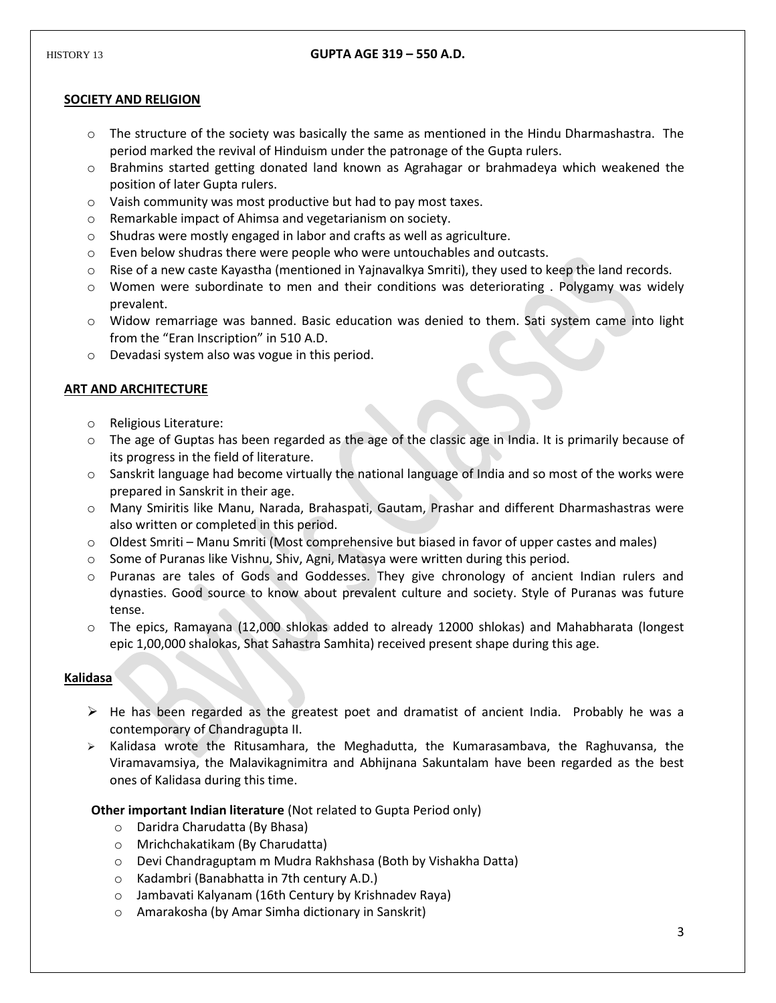## **SOCIETY AND RELIGION**

- o The structure of the society was basically the same as mentioned in the Hindu Dharmashastra. The period marked the revival of Hinduism under the patronage of the Gupta rulers.
- o Brahmins started getting donated land known as Agrahagar or brahmadeya which weakened the position of later Gupta rulers.
- o Vaish community was most productive but had to pay most taxes.
- o Remarkable impact of Ahimsa and vegetarianism on society.
- o Shudras were mostly engaged in labor and crafts as well as agriculture.
- o Even below shudras there were people who were untouchables and outcasts.
- $\circ$  Rise of a new caste Kayastha (mentioned in Yajnavalkya Smriti), they used to keep the land records.
- $\circ$  Women were subordinate to men and their conditions was deteriorating . Polygamy was widely prevalent.
- $\circ$  Widow remarriage was banned. Basic education was denied to them. Sati system came into light from the "Eran Inscription" in 510 A.D.
- o Devadasi system also was vogue in this period.

## **ART AND ARCHITECTURE**

- o Religious Literature:
- $\circ$  The age of Guptas has been regarded as the age of the classic age in India. It is primarily because of its progress in the field of literature.
- $\circ$  Sanskrit language had become virtually the national language of India and so most of the works were prepared in Sanskrit in their age.
- o Many Smiritis like Manu, Narada, Brahaspati, Gautam, Prashar and different Dharmashastras were also written or completed in this period.
- o Oldest Smriti Manu Smriti (Most comprehensive but biased in favor of upper castes and males)
- o Some of Puranas like Vishnu, Shiv, Agni, Matasya were written during this period.
- o Puranas are tales of Gods and Goddesses. They give chronology of ancient Indian rulers and dynasties. Good source to know about prevalent culture and society. Style of Puranas was future tense.
- o The epics, Ramayana (12,000 shlokas added to already 12000 shlokas) and Mahabharata (longest epic 1,00,000 shalokas, Shat Sahastra Samhita) received present shape during this age.

## **Kalidasa**

- $\triangleright$  He has been regarded as the greatest poet and dramatist of ancient India. Probably he was a contemporary of Chandragupta II.
- $\triangleright$  Kalidasa wrote the Ritusamhara, the Meghadutta, the Kumarasambava, the Raghuvansa, the Viramavamsiya, the Malavikagnimitra and Abhijnana Sakuntalam have been regarded as the best ones of Kalidasa during this time.

**Other important Indian literature** (Not related to Gupta Period only)

- o Daridra Charudatta (By Bhasa)
- o Mrichchakatikam (By Charudatta)
- o Devi Chandraguptam m Mudra Rakhshasa (Both by Vishakha Datta)
- o Kadambri (Banabhatta in 7th century A.D.)
- o Jambavati Kalyanam (16th Century by Krishnadev Raya)
- o Amarakosha (by Amar Simha dictionary in Sanskrit)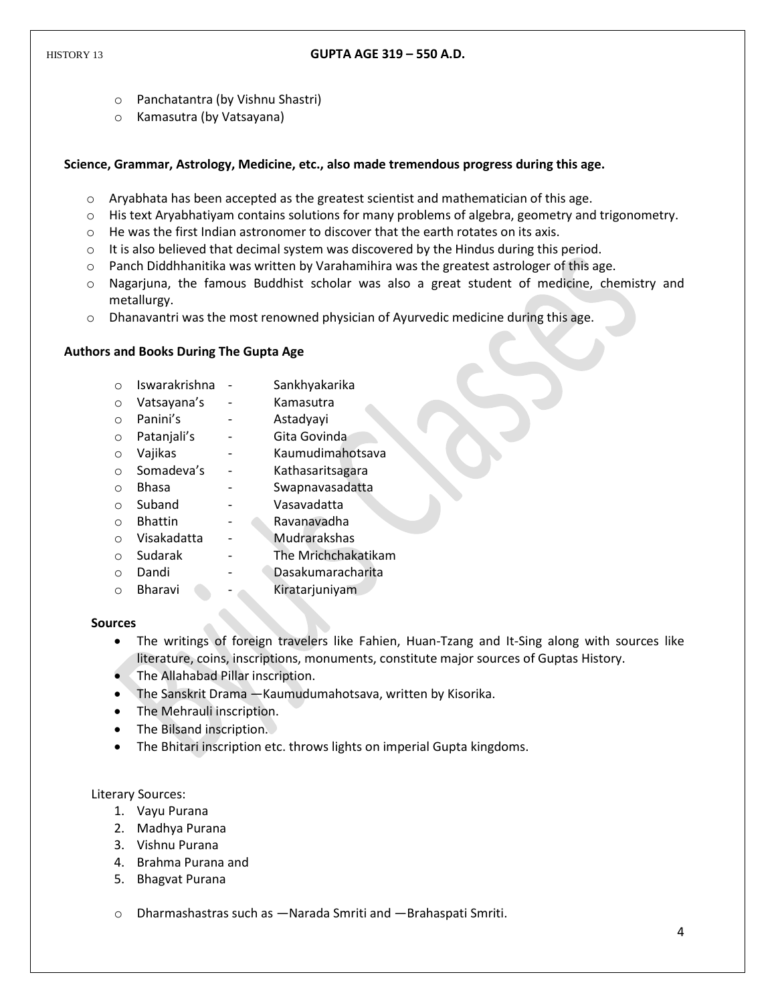- o Panchatantra (by Vishnu Shastri)
- o Kamasutra (by Vatsayana)

### **Science, Grammar, Astrology, Medicine, etc., also made tremendous progress during this age.**

- o Aryabhata has been accepted as the greatest scientist and mathematician of this age.
- o His text Aryabhatiyam contains solutions for many problems of algebra, geometry and trigonometry.
- o He was the first Indian astronomer to discover that the earth rotates on its axis.
- $\circ$  It is also believed that decimal system was discovered by the Hindus during this period.
- $\circ$  Panch Diddhhanitika was written by Varahamihira was the greatest astrologer of this age.
- o Nagarjuna, the famous Buddhist scholar was also a great student of medicine, chemistry and metallurgy.
- $\circ$  Dhanavantri was the most renowned physician of Ayurvedic medicine during this age.

### **Authors and Books During The Gupta Age**

- o Iswarakrishna Sankhyakarika
- o Vatsayana's Kamasutra
- o Panini's Astadyayi
- o Patanjali's Gita Govinda
- o Vajikas Kaumudimahotsava
- o Somadeva's Kathasaritsagara
- o Bhasa Swapnavasadatta
- o Suband Vasavadatta
- o Bhattin Ravanavadha
- o Visakadatta Mudrarakshas
- o Sudarak The Mrichchakatikam
- o Dandi Dasakumaracharita
- o Bharavi Kiratarjuniyam

#### **Sources**

- The writings of foreign travelers like Fahien, Huan-Tzang and It-Sing along with sources like literature, coins, inscriptions, monuments, constitute major sources of Guptas History.
- The Allahabad Pillar inscription.
- The Sanskrit Drama ―Kaumudumahotsava, written by Kisorika.
- The Mehrauli inscription.
- The Bilsand inscription.
- The Bhitari inscription etc. throws lights on imperial Gupta kingdoms.

Literary Sources:

- 1. Vayu Purana
- 2. Madhya Purana
- 3. Vishnu Purana
- 4. Brahma Purana and
- 5. Bhagvat Purana

o Dharmashastras such as ―Narada Smriti and ―Brahaspati Smriti.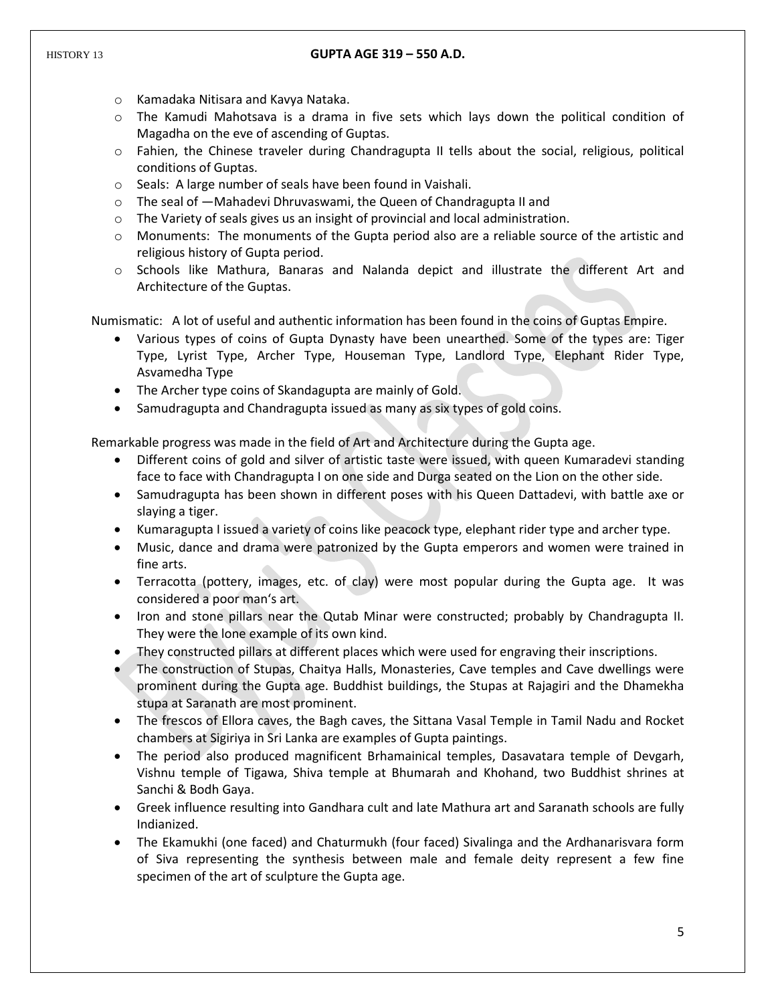- o Kamadaka Nitisara and Kavya Nataka.
- o The Kamudi Mahotsava is a drama in five sets which lays down the political condition of Magadha on the eve of ascending of Guptas.
- o Fahien, the Chinese traveler during Chandragupta II tells about the social, religious, political conditions of Guptas.
- o Seals: A large number of seals have been found in Vaishali.
- o The seal of ―Mahadevi Dhruvaswami, the Queen of Chandragupta II and
- $\circ$  The Variety of seals gives us an insight of provincial and local administration.
- o Monuments: The monuments of the Gupta period also are a reliable source of the artistic and religious history of Gupta period.
- o Schools like Mathura, Banaras and Nalanda depict and illustrate the different Art and Architecture of the Guptas.

Numismatic: A lot of useful and authentic information has been found in the coins of Guptas Empire.

- Various types of coins of Gupta Dynasty have been unearthed. Some of the types are: Tiger Type, Lyrist Type, Archer Type, Houseman Type, Landlord Type, Elephant Rider Type, Asvamedha Type
- The Archer type coins of Skandagupta are mainly of Gold.
- Samudragupta and Chandragupta issued as many as six types of gold coins.

Remarkable progress was made in the field of Art and Architecture during the Gupta age.

- Different coins of gold and silver of artistic taste were issued, with queen Kumaradevi standing face to face with Chandragupta I on one side and Durga seated on the Lion on the other side.
- Samudragupta has been shown in different poses with his Queen Dattadevi, with battle axe or slaying a tiger.
- Kumaragupta I issued a variety of coins like peacock type, elephant rider type and archer type.
- Music, dance and drama were patronized by the Gupta emperors and women were trained in fine arts.
- Terracotta (pottery, images, etc. of clay) were most popular during the Gupta age. It was considered a poor man's art.
- Iron and stone pillars near the Qutab Minar were constructed; probably by Chandragupta II. They were the lone example of its own kind.
- They constructed pillars at different places which were used for engraving their inscriptions.
- The construction of Stupas, Chaitya Halls, Monasteries, Cave temples and Cave dwellings were prominent during the Gupta age. Buddhist buildings, the Stupas at Rajagiri and the Dhamekha stupa at Saranath are most prominent.
- The frescos of Ellora caves, the Bagh caves, the Sittana Vasal Temple in Tamil Nadu and Rocket chambers at Sigiriya in Sri Lanka are examples of Gupta paintings.
- The period also produced magnificent Brhamainical temples, Dasavatara temple of Devgarh, Vishnu temple of Tigawa, Shiva temple at Bhumarah and Khohand, two Buddhist shrines at Sanchi & Bodh Gaya.
- Greek influence resulting into Gandhara cult and late Mathura art and Saranath schools are fully Indianized.
- The Ekamukhi (one faced) and Chaturmukh (four faced) Sivalinga and the Ardhanarisvara form of Siva representing the synthesis between male and female deity represent a few fine specimen of the art of sculpture the Gupta age.